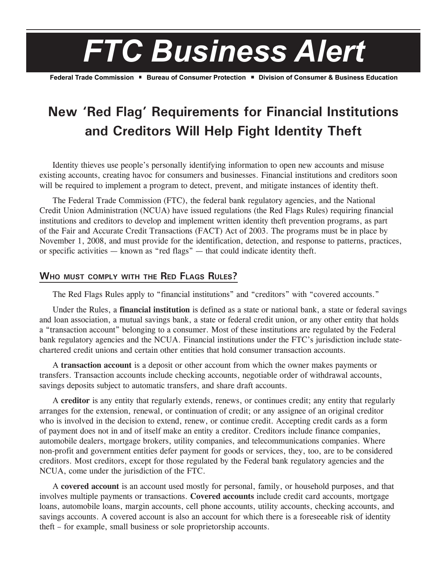

Federal Trade Commission ■ Bureau of Consumer Protection ■ Division of Consumer & Business Education

# **New 'Red Flag' Requirements for Financial Institutions and Creditors Will Help Fight Identity Theft**

Identity thieves use people's personally identifying information to open new accounts and misuse existing accounts, creating havoc for consumers and businesses. Financial institutions and creditors soon will be required to implement a program to detect, prevent, and mitigate instances of identity theft.

The Federal Trade Commission (FTC), the federal bank regulatory agencies, and the National Credit Union Administration (NCUA) have issued regulations (the Red Flags Rules) requiring financial institutions and creditors to develop and implement written identity theft prevention programs, as part of the Fair and Accurate Credit Transactions (FACT) Act of 2003. The programs must be in place by November 1, 2008, and must provide for the identification, detection, and response to patterns, practices, or specific activities — known as "red flags" — that could indicate identity theft.

### **Who must comply with the Red Flags Rules?**

The Red Flags Rules apply to "financial institutions" and "creditors" with "covered accounts."

Under the Rules, a **financial institution** is defined as a state or national bank, a state or federal savings and loan association, a mutual savings bank, a state or federal credit union, or any other entity that holds a "transaction account" belonging to a consumer. Most of these institutions are regulated by the Federal bank regulatory agencies and the NCUA. Financial institutions under the FTC's jurisdiction include statechartered credit unions and certain other entities that hold consumer transaction accounts.

A **transaction account** is a deposit or other account from which the owner makes payments or transfers. Transaction accounts include checking accounts, negotiable order of withdrawal accounts, savings deposits subject to automatic transfers, and share draft accounts.

A **creditor** is any entity that regularly extends, renews, or continues credit; any entity that regularly arranges for the extension, renewal, or continuation of credit; or any assignee of an original creditor who is involved in the decision to extend, renew, or continue credit. Accepting credit cards as a form of payment does not in and of itself make an entity a creditor. Creditors include finance companies, automobile dealers, mortgage brokers, utility companies, and telecommunications companies. Where non-profit and government entities defer payment for goods or services, they, too, are to be considered creditors. Most creditors, except for those regulated by the Federal bank regulatory agencies and the NCUA, come under the jurisdiction of the FTC.

A **covered account** is an account used mostly for personal, family, or household purposes, and that involves multiple payments or transactions. **Covered accounts** include credit card accounts, mortgage loans, automobile loans, margin accounts, cell phone accounts, utility accounts, checking accounts, and savings accounts. A covered account is also an account for which there is a foreseeable risk of identity theft – for example, small business or sole proprietorship accounts.